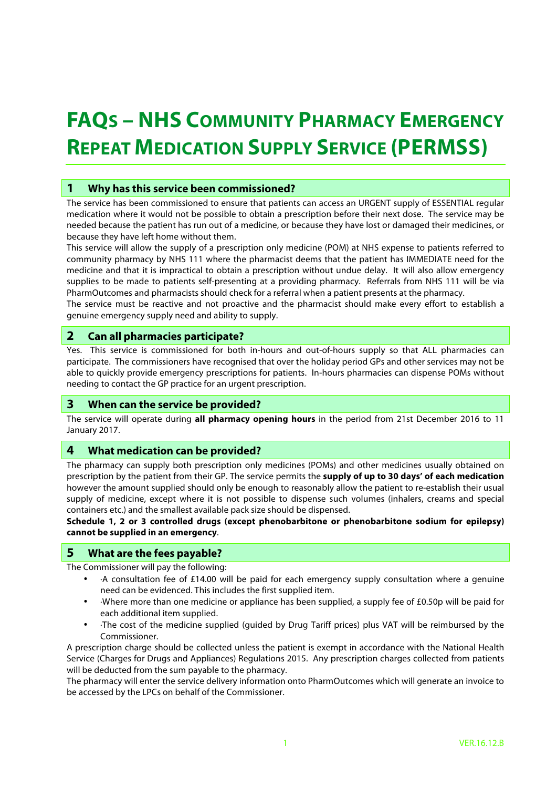# **FAQS – NHS COMMUNITY PHARMACY EMERGENCY REPEAT MEDICATION SUPPLY SERVICE (PERMSS)**

# **1 Why has this service been commissioned?**

The service has been commissioned to ensure that patients can access an URGENT supply of ESSENTIAL regular medication where it would not be possible to obtain a prescription before their next dose. The service may be needed because the patient has run out of a medicine, or because they have lost or damaged their medicines, or because they have left home without them.

This service will allow the supply of a prescription only medicine (POM) at NHS expense to patients referred to community pharmacy by NHS 111 where the pharmacist deems that the patient has IMMEDIATE need for the medicine and that it is impractical to obtain a prescription without undue delay. It will also allow emergency supplies to be made to patients self-presenting at a providing pharmacy. Referrals from NHS 111 will be via PharmOutcomes and pharmacists should check for a referral when a patient presents at the pharmacy.

The service must be reactive and not proactive and the pharmacist should make every effort to establish a genuine emergency supply need and ability to supply.

### **2 Can all pharmacies participate?**

Yes. This service is commissioned for both in-hours and out-of-hours supply so that ALL pharmacies can participate. The commissioners have recognised that over the holiday period GPs and other services may not be able to quickly provide emergency prescriptions for patients. In-hours pharmacies can dispense POMs without needing to contact the GP practice for an urgent prescription.

#### **3 When can the service be provided?**

The service will operate during **all pharmacy opening hours** in the period from 21st December 2016 to 11 January 2017.

#### **4 What medication can be provided?**

The pharmacy can supply both prescription only medicines (POMs) and other medicines usually obtained on prescription by the patient from their GP. The service permits the **supply of up to 30 days' of each medication** however the amount supplied should only be enough to reasonably allow the patient to re-establish their usual supply of medicine, except where it is not possible to dispense such volumes (inhalers, creams and special containers etc.) and the smallest available pack size should be dispensed.

**Schedule 1, 2 or 3 controlled drugs (except phenobarbitone or phenobarbitone sodium for epilepsy) cannot be supplied in an emergency**.

## **5 What are the fees payable?**

The Commissioner will pay the following:

- ·A consultation fee of £14.00 will be paid for each emergency supply consultation where a genuine need can be evidenced. This includes the first supplied item.
- ·Where more than one medicine or appliance has been supplied, a supply fee of £0.50p will be paid for each additional item supplied.
- ·The cost of the medicine supplied (guided by Drug Tariff prices) plus VAT will be reimbursed by the Commissioner.

A prescription charge should be collected unless the patient is exempt in accordance with the National Health Service (Charges for Drugs and Appliances) Regulations 2015. Any prescription charges collected from patients will be deducted from the sum payable to the pharmacy.

The pharmacy will enter the service delivery information onto PharmOutcomes which will generate an invoice to be accessed by the LPCs on behalf of the Commissioner.